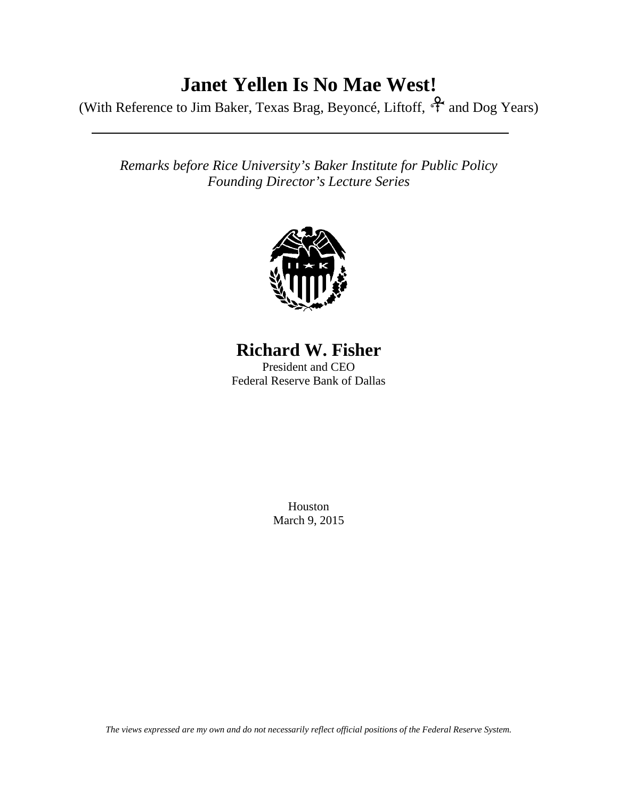## **Janet Yellen Is No Mae West!**

(With Reference to Jim Baker, Texas Brag, Beyoncé, Liftoff,  $\hat{\mathcal{F}}$  and Dog Years)

*Remarks before Rice University's Baker Institute for Public Policy Founding Director's Lecture Series*



## **Richard W. Fisher**

President and CEO Federal Reserve Bank of Dallas

> Houston March 9, 2015

*The views expressed are my own and do not necessarily reflect official positions of the Federal Reserve System.*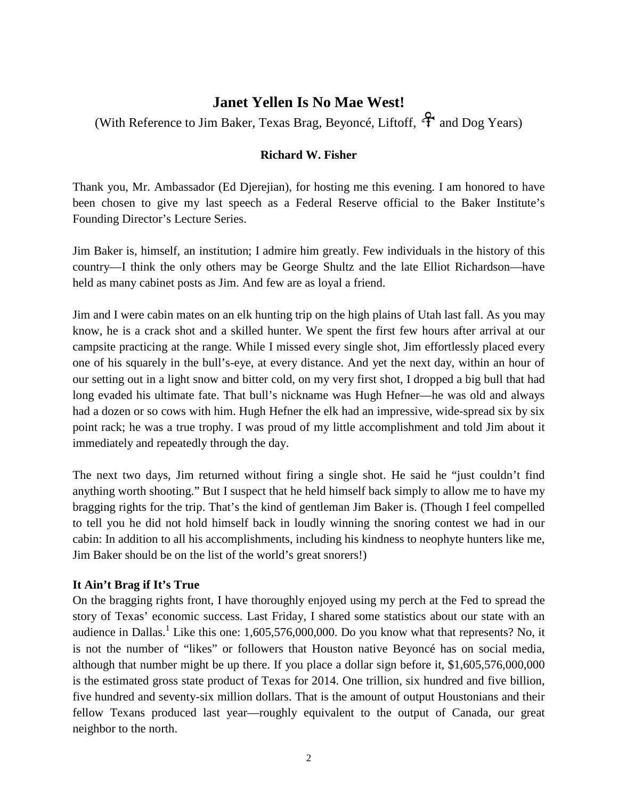### **Janet Yellen Is No Mae West!**

(With Reference to Jim Baker, Texas Brag, Beyoncé, Liftoff,  $\mathcal{F}$  and Dog Years)

#### **Richard W. Fisher**

Thank you, Mr. Ambassador (Ed Djerejian), for hosting me this evening. I am honored to have been chosen to give my last speech as a Federal Reserve official to the Baker Institute's Founding Director's Lecture Series.

Jim Baker is, himself, an institution; I admire him greatly. Few individuals in the history of this country—I think the only others may be George Shultz and the late Elliot Richardson—have held as many cabinet posts as Jim. And few are as loyal a friend.

Jim and I were cabin mates on an elk hunting trip on the high plains of Utah last fall. As you may know, he is a crack shot and a skilled hunter. We spent the first few hours after arrival at our campsite practicing at the range. While I missed every single shot, Jim effortlessly placed every one of his squarely in the bull's-eye, at every distance. And yet the next day, within an hour of our setting out in a light snow and bitter cold, on my very first shot, I dropped a big bull that had long evaded his ultimate fate. That bull's nickname was Hugh Hefner—he was old and always had a dozen or so cows with him. Hugh Hefner the elk had an impressive, wide-spread six by six point rack; he was a true trophy. I was proud of my little accomplishment and told Jim about it immediately and repeatedly through the day.

The next two days, Jim returned without firing a single shot. He said he "just couldn't find anything worth shooting." But I suspect that he held himself back simply to allow me to have my bragging rights for the trip. That's the kind of gentleman Jim Baker is. (Though I feel compelled to tell you he did not hold himself back in loudly winning the snoring contest we had in our cabin: In addition to all his accomplishments, including his kindness to neophyte hunters like me, Jim Baker should be on the list of the world's great snorers!)

#### **It Ain't Brag if It's True**

On the bragging rights front, I have thoroughly enjoyed using my perch at the Fed to spread the story of Texas' economic success. Last Friday, I shared some statistics about our state with an audience in Dallas.<sup>1</sup> Like this one: 1,605,576,000,000. Do you know what that represents? No, it is not the number of "likes" or followers that Houston native Beyoncé has on social media, although that number might be up there. If you place a dollar sign before it, \$1,605,576,000,000 is the estimated gross state product of Texas for 2014. One trillion, six hundred and five billion, five hundred and seventy-six million dollars. That is the amount of output Houstonians and their fellow Texans produced last year—roughly equivalent to the output of Canada, our great neighbor to the north.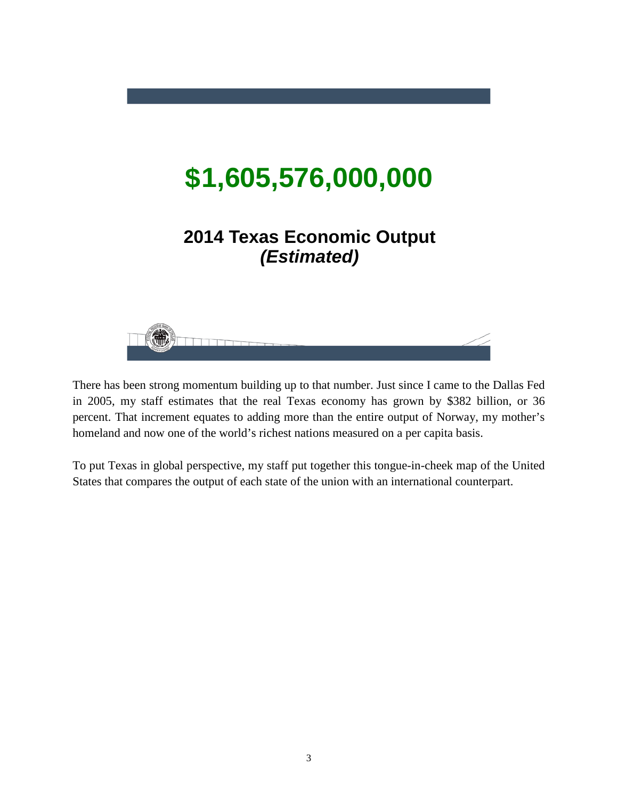# **1,605,576,000,000 \$**

## **2014 Texas Economic Output**  *(Estimated)*



There has been strong momentum building up to that number. Just since I came to the Dallas Fed in 2005, my staff estimates that the real Texas economy has grown by \$382 billion, or 36 percent. That increment equates to adding more than the entire output of Norway, my mother's homeland and now one of the world's richest nations measured on a per capita basis.

To put Texas in global perspective, my staff put together this tongue-in-cheek map of the United States that compares the output of each state of the union with an international counterpart.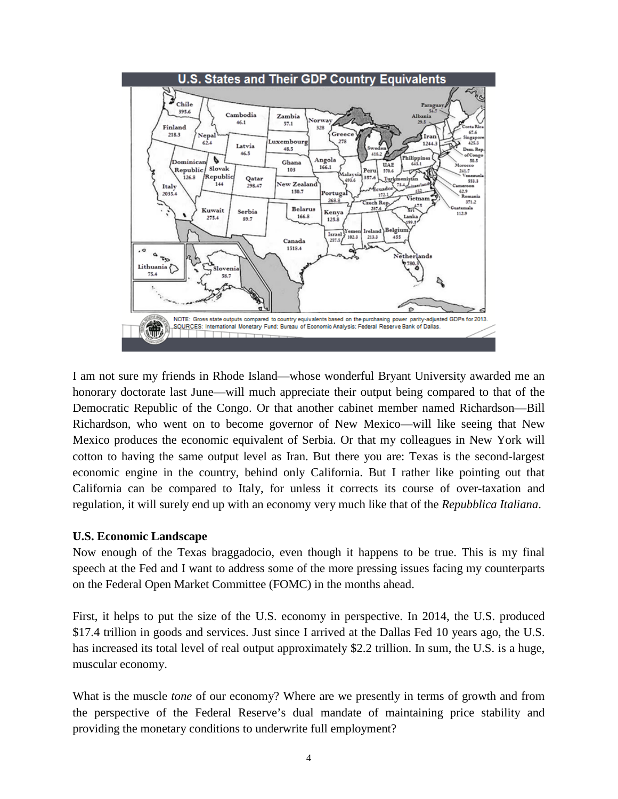

I am not sure my friends in Rhode Island—whose wonderful Bryant University awarded me an honorary doctorate last June—will much appreciate their output being compared to that of the Democratic Republic of the Congo. Or that another cabinet member named Richardson—Bill Richardson, who went on to become governor of New Mexico—will like seeing that New Mexico produces the economic equivalent of Serbia. Or that my colleagues in New York will cotton to having the same output level as Iran. But there you are: Texas is the second-largest economic engine in the country, behind only California. But I rather like pointing out that California can be compared to Italy, for unless it corrects its course of over-taxation and regulation, it will surely end up with an economy very much like that of the *Repubblica Italiana*.

#### **U.S. Economic Landscape**

Now enough of the Texas braggadocio, even though it happens to be true. This is my final speech at the Fed and I want to address some of the more pressing issues facing my counterparts on the Federal Open Market Committee (FOMC) in the months ahead.

First, it helps to put the size of the U.S. economy in perspective. In 2014, the U.S. produced \$17.4 trillion in goods and services. Just since I arrived at the Dallas Fed 10 years ago, the U.S. has increased its total level of real output approximately \$2.2 trillion. In sum, the U.S. is a huge, muscular economy.

What is the muscle *tone* of our economy? Where are we presently in terms of growth and from the perspective of the Federal Reserve's dual mandate of maintaining price stability and providing the monetary conditions to underwrite full employment?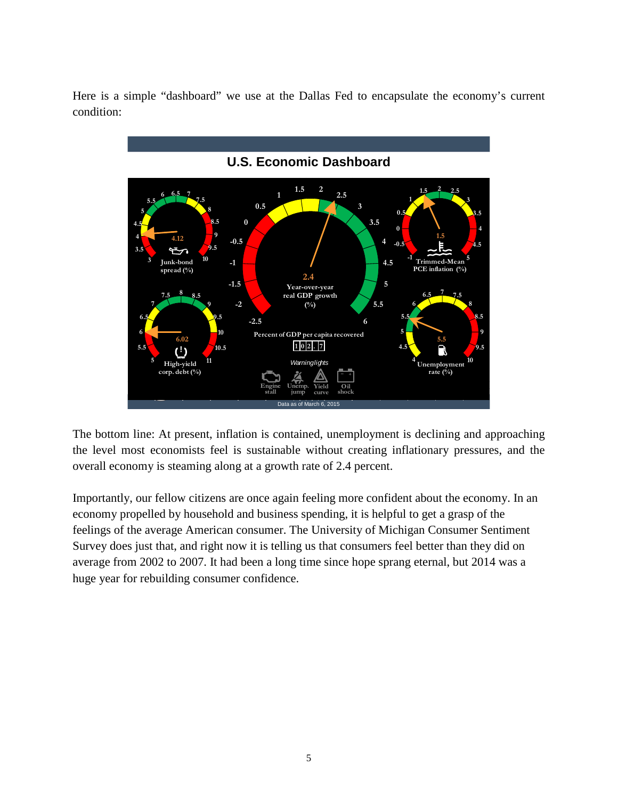Here is a simple "dashboard" we use at the Dallas Fed to encapsulate the economy's current condition:



The bottom line: At present, inflation is contained, unemployment is declining and approaching the level most economists feel is sustainable without creating inflationary pressures, and the overall economy is steaming along at a growth rate of 2.4 percent.

Importantly, our fellow citizens are once again feeling more confident about the economy. In an economy propelled by household and business spending, it is helpful to get a grasp of the feelings of the average American consumer. The University of Michigan Consumer Sentiment Survey does just that, and right now it is telling us that consumers feel better than they did on average from 2002 to 2007. It had been a long time since hope sprang eternal, but 2014 was a huge year for rebuilding consumer confidence.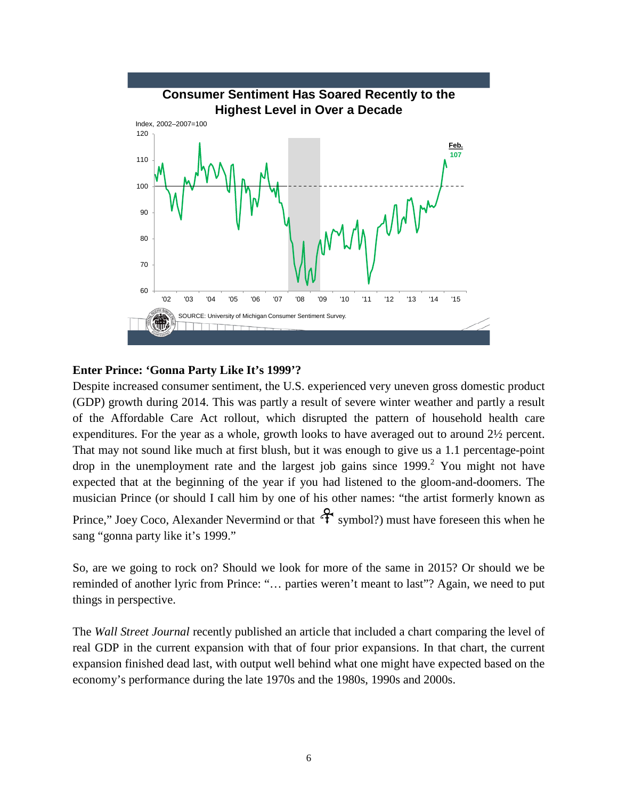

#### **Enter Prince: 'Gonna Party Like It's 1999'?**

Despite increased consumer sentiment, the U.S. experienced very uneven gross domestic product (GDP) growth during 2014. This was partly a result of severe winter weather and partly a result of the Affordable Care Act rollout, which disrupted the pattern of household health care expenditures. For the year as a whole, growth looks to have averaged out to around 2½ percent. That may not sound like much at first blush, but it was enough to give us a 1.1 percentage-point drop in the unemployment rate and the largest job gains since  $1999<sup>2</sup>$  You might not have expected that at the beginning of the year if you had listened to the gloom-and-doomers. The musician Prince (or should I call him by one of his other names: "the artist formerly known as Prince," Joey Coco, Alexander Nevermind or that  $\mathcal{F}_{symbol}$ ?) must have foreseen this when he sang "gonna party like it's 1999."

So, are we going to rock on? Should we look for more of the same in 2015? Or should we be reminded of another lyric from Prince: "… parties weren't meant to last"? Again, we need to put things in perspective.

The *Wall Street Journal* recently published an article that included a chart comparing the level of real GDP in the current expansion with that of four prior expansions. In that chart, the current expansion finished dead last, with output well behind what one might have expected based on the economy's performance during the late 1970s and the 1980s, 1990s and 2000s.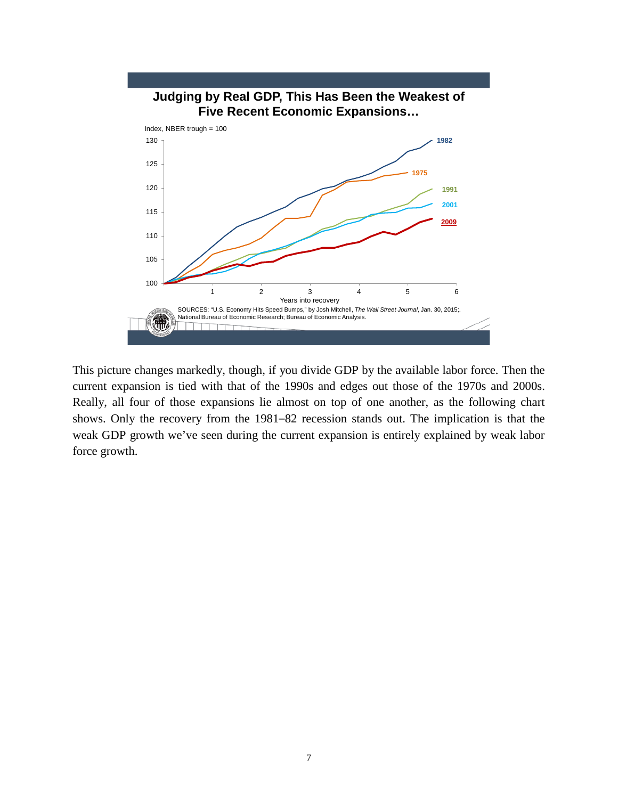

This picture changes markedly, though, if you divide GDP by the available labor force. Then the current expansion is tied with that of the 1990s and edges out those of the 1970s and 2000s. Really, all four of those expansions lie almost on top of one another, as the following chart shows. Only the recovery from the 1981–82 recession stands out. The implication is that the weak GDP growth we've seen during the current expansion is entirely explained by weak labor force growth.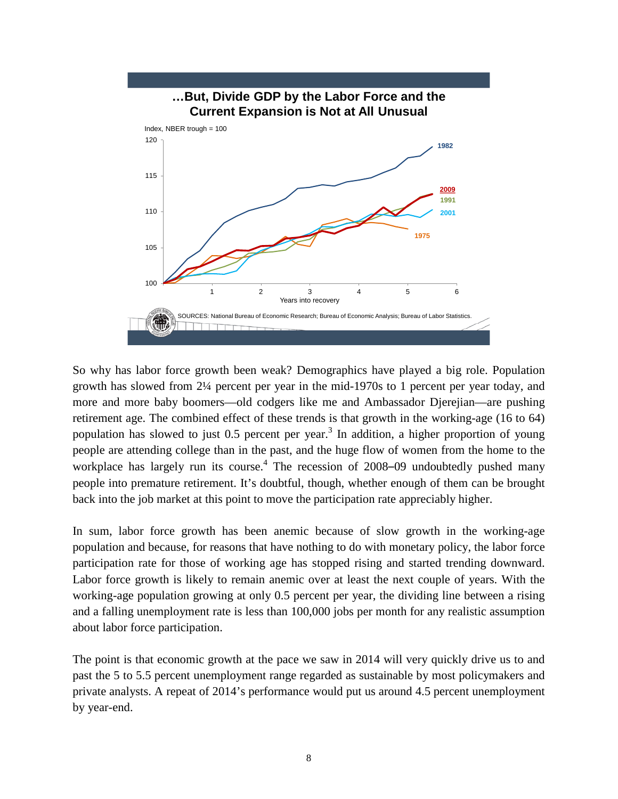

So why has labor force growth been weak? Demographics have played a big role. Population growth has slowed from 2¼ percent per year in the mid-1970s to 1 percent per year today, and more and more baby boomers—old codgers like me and Ambassador Djerejian—are pushing retirement age. The combined effect of these trends is that growth in the working-age (16 to 64) population has slowed to just 0.5 percent per year.<sup>3</sup> In addition, a higher proportion of young people are attending college than in the past, and the huge flow of women from the home to the workplace has largely run its course.<sup>4</sup> The recession of 2008–09 undoubtedly pushed many people into premature retirement. It's doubtful, though, whether enough of them can be brought back into the job market at this point to move the participation rate appreciably higher.

In sum, labor force growth has been anemic because of slow growth in the working-age population and because, for reasons that have nothing to do with monetary policy, the labor force participation rate for those of working age has stopped rising and started trending downward. Labor force growth is likely to remain anemic over at least the next couple of years. With the working-age population growing at only 0.5 percent per year, the dividing line between a rising and a falling unemployment rate is less than 100,000 jobs per month for any realistic assumption about labor force participation.

The point is that economic growth at the pace we saw in 2014 will very quickly drive us to and past the 5 to 5.5 percent unemployment range regarded as sustainable by most policymakers and private analysts. A repeat of 2014's performance would put us around 4.5 percent unemployment by year-end.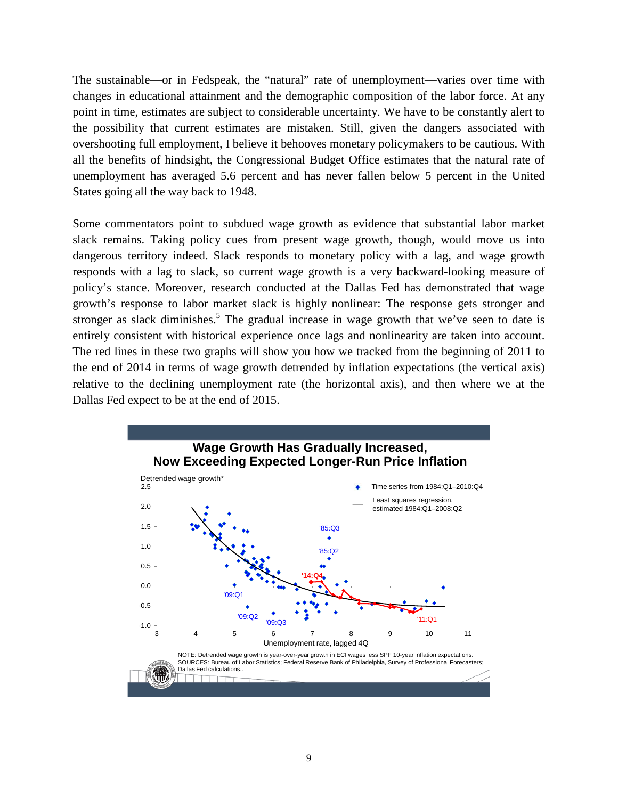The sustainable—or in Fedspeak, the "natural" rate of unemployment—varies over time with changes in educational attainment and the demographic composition of the labor force. At any point in time, estimates are subject to considerable uncertainty. We have to be constantly alert to the possibility that current estimates are mistaken. Still, given the dangers associated with overshooting full employment, I believe it behooves monetary policymakers to be cautious. With all the benefits of hindsight, the Congressional Budget Office estimates that the natural rate of unemployment has averaged 5.6 percent and has never fallen below 5 percent in the United States going all the way back to 1948.

Some commentators point to subdued wage growth as evidence that substantial labor market slack remains. Taking policy cues from present wage growth, though, would move us into dangerous territory indeed. Slack responds to monetary policy with a lag, and wage growth responds with a lag to slack, so current wage growth is a very backward-looking measure of policy's stance. Moreover, research conducted at the Dallas Fed has demonstrated that wage growth's response to labor market slack is highly nonlinear: The response gets stronger and stronger as slack diminishes.<sup>5</sup> The gradual increase in wage growth that we've seen to date is entirely consistent with historical experience once lags and nonlinearity are taken into account. The red lines in these two graphs will show you how we tracked from the beginning of 2011 to the end of 2014 in terms of wage growth detrended by inflation expectations (the vertical axis) relative to the declining unemployment rate (the horizontal axis), and then where we at the Dallas Fed expect to be at the end of 2015.

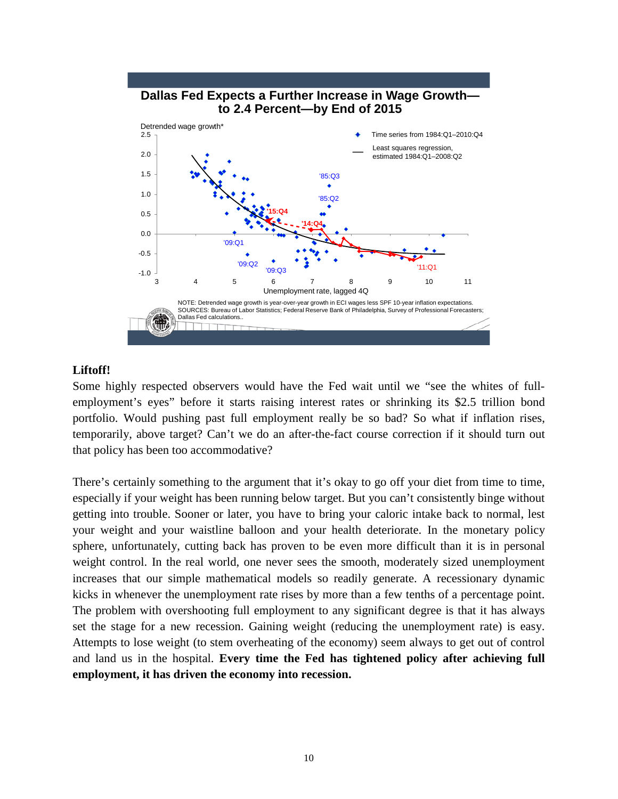

#### **Liftoff!**

Some highly respected observers would have the Fed wait until we "see the whites of fullemployment's eyes" before it starts raising interest rates or shrinking its \$2.5 trillion bond portfolio. Would pushing past full employment really be so bad? So what if inflation rises, temporarily, above target? Can't we do an after-the-fact course correction if it should turn out that policy has been too accommodative?

There's certainly something to the argument that it's okay to go off your diet from time to time, especially if your weight has been running below target. But you can't consistently binge without getting into trouble. Sooner or later, you have to bring your caloric intake back to normal, lest your weight and your waistline balloon and your health deteriorate. In the monetary policy sphere, unfortunately, cutting back has proven to be even more difficult than it is in personal weight control. In the real world, one never sees the smooth, moderately sized unemployment increases that our simple mathematical models so readily generate. A recessionary dynamic kicks in whenever the unemployment rate rises by more than a few tenths of a percentage point. The problem with overshooting full employment to any significant degree is that it has always set the stage for a new recession. Gaining weight (reducing the unemployment rate) is easy. Attempts to lose weight (to stem overheating of the economy) seem always to get out of control and land us in the hospital. **Every time the Fed has tightened policy after achieving full employment, it has driven the economy into recession.**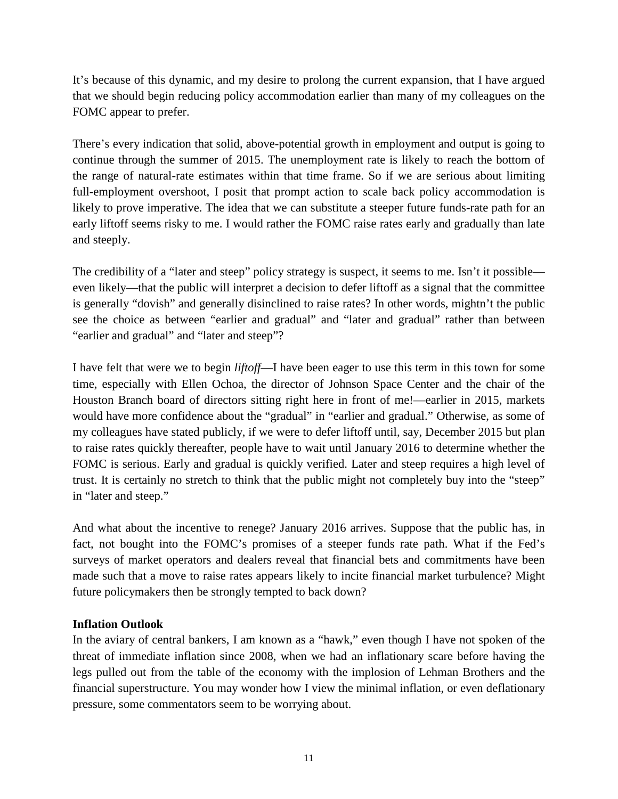It's because of this dynamic, and my desire to prolong the current expansion, that I have argued that we should begin reducing policy accommodation earlier than many of my colleagues on the FOMC appear to prefer.

There's every indication that solid, above-potential growth in employment and output is going to continue through the summer of 2015. The unemployment rate is likely to reach the bottom of the range of natural-rate estimates within that time frame. So if we are serious about limiting full-employment overshoot, I posit that prompt action to scale back policy accommodation is likely to prove imperative. The idea that we can substitute a steeper future funds-rate path for an early liftoff seems risky to me. I would rather the FOMC raise rates early and gradually than late and steeply.

The credibility of a "later and steep" policy strategy is suspect, it seems to me. Isn't it possible even likely—that the public will interpret a decision to defer liftoff as a signal that the committee is generally "dovish" and generally disinclined to raise rates? In other words, mightn't the public see the choice as between "earlier and gradual" and "later and gradual" rather than between "earlier and gradual" and "later and steep"?

I have felt that were we to begin *liftoff*—I have been eager to use this term in this town for some time, especially with Ellen Ochoa, the director of Johnson Space Center and the chair of the Houston Branch board of directors sitting right here in front of me!—earlier in 2015, markets would have more confidence about the "gradual" in "earlier and gradual." Otherwise, as some of my colleagues have stated publicly, if we were to defer liftoff until, say, December 2015 but plan to raise rates quickly thereafter, people have to wait until January 2016 to determine whether the FOMC is serious. Early and gradual is quickly verified. Later and steep requires a high level of trust. It is certainly no stretch to think that the public might not completely buy into the "steep" in "later and steep."

And what about the incentive to renege? January 2016 arrives. Suppose that the public has, in fact, not bought into the FOMC's promises of a steeper funds rate path. What if the Fed's surveys of market operators and dealers reveal that financial bets and commitments have been made such that a move to raise rates appears likely to incite financial market turbulence? Might future policymakers then be strongly tempted to back down?

#### **Inflation Outlook**

In the aviary of central bankers, I am known as a "hawk," even though I have not spoken of the threat of immediate inflation since 2008, when we had an inflationary scare before having the legs pulled out from the table of the economy with the implosion of Lehman Brothers and the financial superstructure. You may wonder how I view the minimal inflation, or even deflationary pressure, some commentators seem to be worrying about.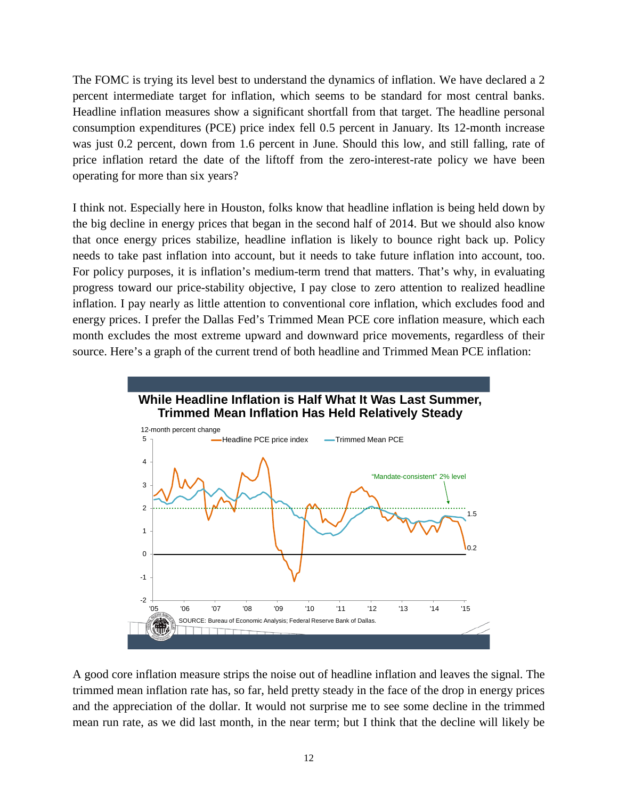The FOMC is trying its level best to understand the dynamics of inflation. We have declared a 2 percent intermediate target for inflation, which seems to be standard for most central banks. Headline inflation measures show a significant shortfall from that target. The headline personal consumption expenditures (PCE) price index fell 0.5 percent in January. Its 12-month increase was just 0.2 percent, down from 1.6 percent in June. Should this low, and still falling, rate of price inflation retard the date of the liftoff from the zero-interest-rate policy we have been operating for more than six years?

I think not. Especially here in Houston, folks know that headline inflation is being held down by the big decline in energy prices that began in the second half of 2014. But we should also know that once energy prices stabilize, headline inflation is likely to bounce right back up. Policy needs to take past inflation into account, but it needs to take future inflation into account, too. For policy purposes, it is inflation's medium-term trend that matters. That's why, in evaluating progress toward our price-stability objective, I pay close to zero attention to realized headline inflation. I pay nearly as little attention to conventional core inflation, which excludes food and energy prices. I prefer the Dallas Fed's Trimmed Mean PCE core inflation measure, which each month excludes the most extreme upward and downward price movements, regardless of their source. Here's a graph of the current trend of both headline and Trimmed Mean PCE inflation:



A good core inflation measure strips the noise out of headline inflation and leaves the signal. The trimmed mean inflation rate has, so far, held pretty steady in the face of the drop in energy prices and the appreciation of the dollar. It would not surprise me to see some decline in the trimmed mean run rate, as we did last month, in the near term; but I think that the decline will likely be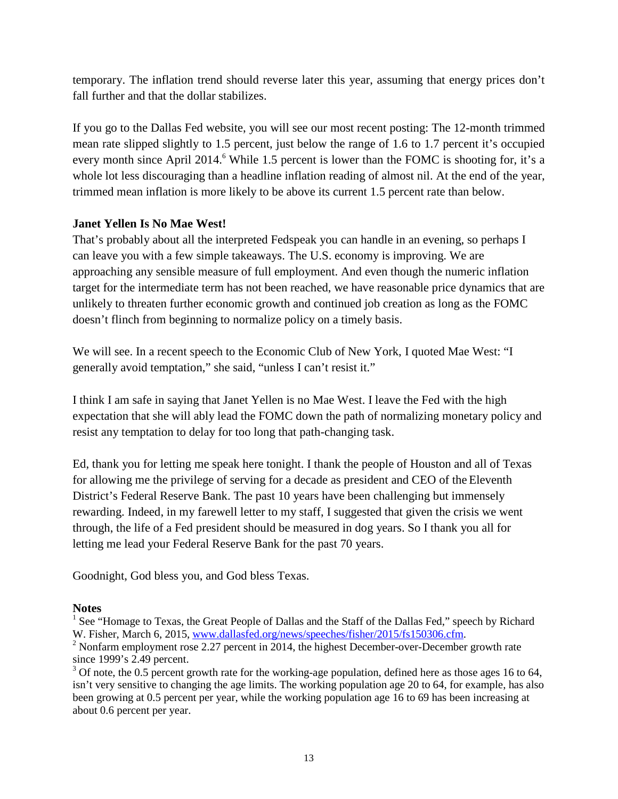temporary. The inflation trend should reverse later this year, assuming that energy prices don't fall further and that the dollar stabilizes.

If you go to the Dallas Fed website, you will see our most recent posting: The 12-month trimmed mean rate slipped slightly to 1.5 percent, just below the range of 1.6 to 1.7 percent it's occupied every month since April 2014.<sup>6</sup> While 1.5 percent is lower than the FOMC is shooting for, it's a whole lot less discouraging than a headline inflation reading of almost nil. At the end of the year, trimmed mean inflation is more likely to be above its current 1.5 percent rate than below.

#### **Janet Yellen Is No Mae West!**

That's probably about all the interpreted Fedspeak you can handle in an evening, so perhaps I can leave you with a few simple takeaways. The U.S. economy is improving. We are approaching any sensible measure of full employment. And even though the numeric inflation target for the intermediate term has not been reached, we have reasonable price dynamics that are unlikely to threaten further economic growth and continued job creation as long as the FOMC doesn't flinch from beginning to normalize policy on a timely basis.

We will see. In a recent speech to the Economic Club of New York, I quoted Mae West: "I generally avoid temptation," she said, "unless I can't resist it."

I think I am safe in saying that Janet Yellen is no Mae West. I leave the Fed with the high expectation that she will ably lead the FOMC down the path of normalizing monetary policy and resist any temptation to delay for too long that path-changing task.

Ed, thank you for letting me speak here tonight. I thank the people of Houston and all of Texas for allowing me the privilege of serving for a decade as president and CEO of the Eleventh District's Federal Reserve Bank. The past 10 years have been challenging but immensely rewarding. Indeed, in my farewell letter to my staff, I suggested that given the crisis we went through, the life of a Fed president should be measured in dog years. So I thank you all for letting me lead your Federal Reserve Bank for the past 70 years.

Goodnight, God bless you, and God bless Texas.

#### **Notes**

<sup>1</sup> See "Homage to Texas, the Great People of Dallas and the Staff of the Dallas Fed," speech by Richard W. Fisher, March 6, 2015, www.dallasfed.org/news/speeches/fisher/2015/fs150306.cfm.

 $3$  Of note, the 0.5 percent growth rate for the working-age population, defined here as those ages 16 to 64, isn't very sensitive to changing the age limits. The working population age 20 to 64, for example, has also been growing at 0.5 percent per year, while the working population age 16 to 69 has been increasing at about 0.6 percent per year.

<sup>&</sup>lt;sup>2</sup> Nonfarm employment rose 2.27 percent in 2014, the highest December-over-December growth rate since 1999's 2.49 percent.